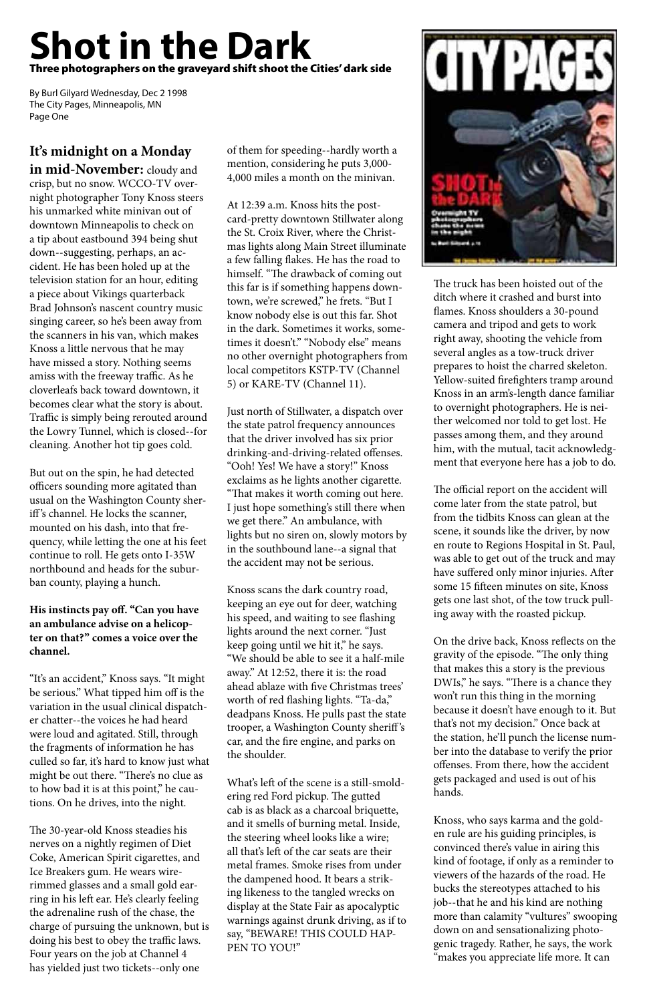# **Shot in the Dark** Three photographers on the graveyard shift shoot the Cities' dark side

By Burl Gilyard Wednesday, Dec 2 1998 The City Pages, Minneapolis, MN Page One

# **It's midnight on a Monday in mid-November:** cloudy and

crisp, but no snow. WCCO-TV overnight photographer Tony Knoss steers his unmarked white minivan out of downtown Minneapolis to check on a tip about eastbound 394 being shut down--suggesting, perhaps, an accident. He has been holed up at the television station for an hour, editing a piece about Vikings quarterback Brad Johnson's nascent country music singing career, so he's been away from the scanners in his van, which makes Knoss a little nervous that he may have missed a story. Nothing seems amiss with the freeway traffic. As he cloverleafs back toward downtown, it becomes clear what the story is about. Traffic is simply being rerouted around the Lowry Tunnel, which is closed--for cleaning. Another hot tip goes cold.

But out on the spin, he had detected officers sounding more agitated than usual on the Washington County sheriff 's channel. He locks the scanner, mounted on his dash, into that frequency, while letting the one at his feet continue to roll. He gets onto I-35W northbound and heads for the suburban county, playing a hunch.

#### **His instincts pay off. "Can you have an ambulance advise on a helicopter on that?" comes a voice over the channel.**

"It's an accident," Knoss says. "It might be serious." What tipped him off is the variation in the usual clinical dispatcher chatter--the voices he had heard were loud and agitated. Still, through the fragments of information he has culled so far, it's hard to know just what might be out there. "There's no clue as to how bad it is at this point," he cautions. On he drives, into the night.

The 30-year-old Knoss steadies his nerves on a nightly regimen of Diet Coke, American Spirit cigarettes, and Ice Breakers gum. He wears wirerimmed glasses and a small gold earring in his left ear. He's clearly feeling the adrenaline rush of the chase, the charge of pursuing the unknown, but is doing his best to obey the traffic laws. Four years on the job at Channel 4 has yielded just two tickets--only one

of them for speeding--hardly worth a mention, considering he puts 3,000- 4,000 miles a month on the minivan.

At 12:39 a.m. Knoss hits the postcard-pretty downtown Stillwater along the St. Croix River, where the Christmas lights along Main Street illuminate a few falling flakes. He has the road to himself. "The drawback of coming out this far is if something happens downtown, we're screwed," he frets. "But I know nobody else is out this far. Shot in the dark. Sometimes it works, sometimes it doesn't." "Nobody else" means no other overnight photographers from local competitors KSTP-TV (Channel 5) or KARE-TV (Channel 11).

Just north of Stillwater, a dispatch over the state patrol frequency announces that the driver involved has six prior drinking-and-driving-related offenses. "Ooh! Yes! We have a story!" Knoss exclaims as he lights another cigarette. "That makes it worth coming out here. I just hope something's still there when we get there." An ambulance, with lights but no siren on, slowly motors by in the southbound lane--a signal that the accident may not be serious.

Knoss scans the dark country road, keeping an eye out for deer, watching his speed, and waiting to see flashing lights around the next corner. "Just keep going until we hit it," he says. "We should be able to see it a half-mile away." At 12:52, there it is: the road ahead ablaze with five Christmas trees' worth of red flashing lights. "Ta-da," deadpans Knoss. He pulls past the state trooper, a Washington County sheriff 's



car, and the fire engine, and parks on the shoulder.

What's left of the scene is a still-smoldering red Ford pickup. The gutted cab is as black as a charcoal briquette, and it smells of burning metal. Inside, the steering wheel looks like a wire; all that's left of the car seats are their metal frames. Smoke rises from under the dampened hood. It bears a striking likeness to the tangled wrecks on display at the State Fair as apocalyptic warnings against drunk driving, as if to say, "BEWARE! THIS COULD HAP-PEN TO YOU!"

The truck has been hoisted out of the ditch where it crashed and burst into flames. Knoss shoulders a 30-pound camera and tripod and gets to work right away, shooting the vehicle from several angles as a tow-truck driver prepares to hoist the charred skeleton. Yellow-suited firefighters tramp around Knoss in an arm's-length dance familiar to overnight photographers. He is neither welcomed nor told to get lost. He passes among them, and they around him, with the mutual, tacit acknowledgment that everyone here has a job to do.

The official report on the accident will come later from the state patrol, but from the tidbits Knoss can glean at the scene, it sounds like the driver, by now en route to Regions Hospital in St. Paul, was able to get out of the truck and may have suffered only minor injuries. After some 15 fifteen minutes on site, Knoss gets one last shot, of the tow truck pulling away with the roasted pickup.

On the drive back, Knoss reflects on the gravity of the episode. "The only thing that makes this a story is the previous DWIs," he says. "There is a chance they won't run this thing in the morning because it doesn't have enough to it. But that's not my decision." Once back at the station, he'll punch the license number into the database to verify the prior offenses. From there, how the accident gets packaged and used is out of his hands.

Knoss, who says karma and the golden rule are his guiding principles, is convinced there's value in airing this kind of footage, if only as a reminder to viewers of the hazards of the road. He bucks the stereotypes attached to his job--that he and his kind are nothing more than calamity "vultures" swooping down on and sensationalizing photogenic tragedy. Rather, he says, the work "makes you appreciate life more. It can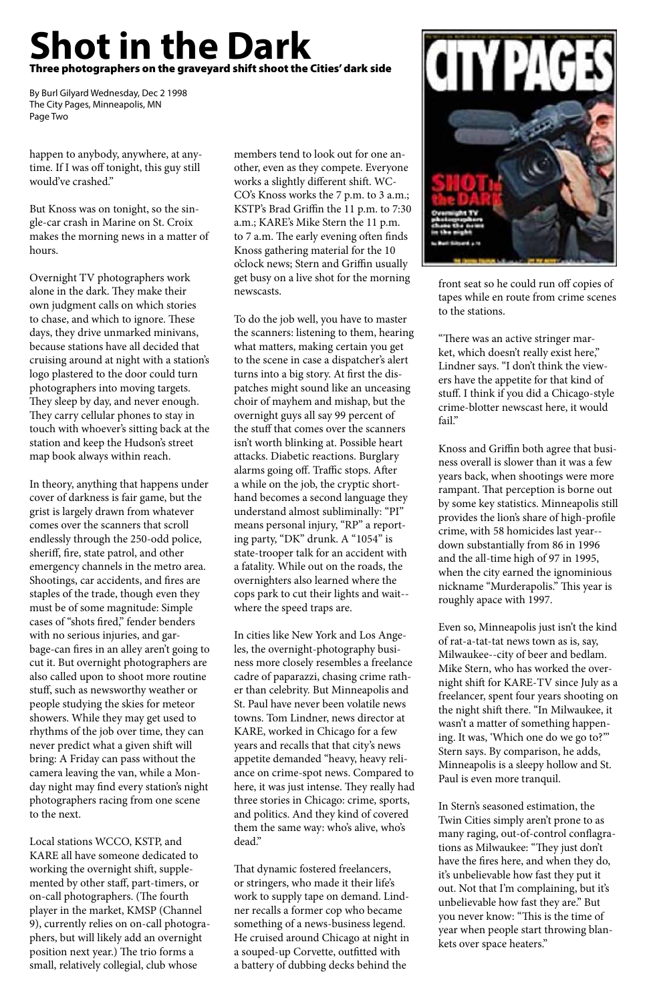happen to anybody, anywhere, at anytime. If I was off tonight, this guy still would've crashed."

But Knoss was on tonight, so the single-car crash in Marine on St. Croix makes the morning news in a matter of hours.

Overnight TV photographers work alone in the dark. They make their own judgment calls on which stories to chase, and which to ignore. These days, they drive unmarked minivans, because stations have all decided that cruising around at night with a station's logo plastered to the door could turn photographers into moving targets. They sleep by day, and never enough. They carry cellular phones to stay in touch with whoever's sitting back at the station and keep the Hudson's street map book always within reach.

In theory, anything that happens under cover of darkness is fair game, but the grist is largely drawn from whatever comes over the scanners that scroll endlessly through the 250-odd police, sheriff, fire, state patrol, and other emergency channels in the metro area. Shootings, car accidents, and fires are staples of the trade, though even they must be of some magnitude: Simple cases of "shots fired," fender benders with no serious injuries, and garbage-can fires in an alley aren't going to cut it. But overnight photographers are also called upon to shoot more routine stuff, such as newsworthy weather or people studying the skies for meteor showers. While they may get used to rhythms of the job over time, they can never predict what a given shift will bring: A Friday can pass without the camera leaving the van, while a Monday night may find every station's night photographers racing from one scene to the next.

Local stations WCCO, KSTP, and KARE all have someone dedicated to working the overnight shift, supplemented by other staff, part-timers, or on-call photographers. (The fourth player in the market, KMSP (Channel 9), currently relies on on-call photographers, but will likely add an overnight position next year.) The trio forms a small, relatively collegial, club whose

members tend to look out for one another, even as they compete. Everyone works a slightly different shift. WC-CO's Knoss works the 7 p.m. to 3 a.m.; KSTP's Brad Griffin the 11 p.m. to 7:30 a.m.; KARE's Mike Stern the 11 p.m. to 7 a.m. The early evening often finds Knoss gathering material for the 10 o'clock news; Stern and Griffin usually get busy on a live shot for the morning newscasts.

To do the job well, you have to master the scanners: listening to them, hearing what matters, making certain you get to the scene in case a dispatcher's alert turns into a big story. At first the dispatches might sound like an unceasing choir of mayhem and mishap, but the overnight guys all say 99 percent of the stuff that comes over the scanners isn't worth blinking at. Possible heart attacks. Diabetic reactions. Burglary alarms going off. Traffic stops. After a while on the job, the cryptic shorthand becomes a second language they understand almost subliminally: "PI" means personal injury, "RP" a reporting party, "DK" drunk. A "1054" is state-trooper talk for an accident with a fatality. While out on the roads, the overnighters also learned where the cops park to cut their lights and wait- where the speed traps are.

In cities like New York and Los Angeles, the overnight-photography business more closely resembles a freelance cadre of paparazzi, chasing crime rather than celebrity. But Minneapolis and St. Paul have never been volatile news towns. Tom Lindner, news director at KARE, worked in Chicago for a few years and recalls that that city's news appetite demanded "heavy, heavy reliance on crime-spot news. Compared to here, it was just intense. They really had three stories in Chicago: crime, sports, and politics. And they kind of covered them the same way: who's alive, who's dead."



That dynamic fostered freelancers, or stringers, who made it their life's work to supply tape on demand. Lindner recalls a former cop who became something of a news-business legend. He cruised around Chicago at night in a souped-up Corvette, outfitted with a battery of dubbing decks behind the

front seat so he could run off copies of tapes while en route from crime scenes to the stations.

"There was an active stringer market, which doesn't really exist here," Lindner says. "I don't think the viewers have the appetite for that kind of stuff. I think if you did a Chicago-style crime-blotter newscast here, it would fail."

Knoss and Griffin both agree that business overall is slower than it was a few years back, when shootings were more rampant. That perception is borne out by some key statistics. Minneapolis still provides the lion's share of high-profile crime, with 58 homicides last year- down substantially from 86 in 1996 and the all-time high of 97 in 1995, when the city earned the ignominious nickname "Murderapolis." This year is roughly apace with 1997.

Even so, Minneapolis just isn't the kind of rat-a-tat-tat news town as is, say, Milwaukee--city of beer and bedlam. Mike Stern, who has worked the overnight shift for KARE-TV since July as a freelancer, spent four years shooting on the night shift there. "In Milwaukee, it wasn't a matter of something happening. It was, 'Which one do we go to?'" Stern says. By comparison, he adds, Minneapolis is a sleepy hollow and St. Paul is even more tranquil.

In Stern's seasoned estimation, the Twin Cities simply aren't prone to as many raging, out-of-control conflagrations as Milwaukee: "They just don't have the fires here, and when they do, it's unbelievable how fast they put it out. Not that I'm complaining, but it's unbelievable how fast they are." But you never know: "This is the time of year when people start throwing blankets over space heaters."

## **Shot in the Dark** Three photographers on the graveyard shift shoot the Cities' dark side

By Burl Gilyard Wednesday, Dec 2 1998 The City Pages, Minneapolis, MN Page Two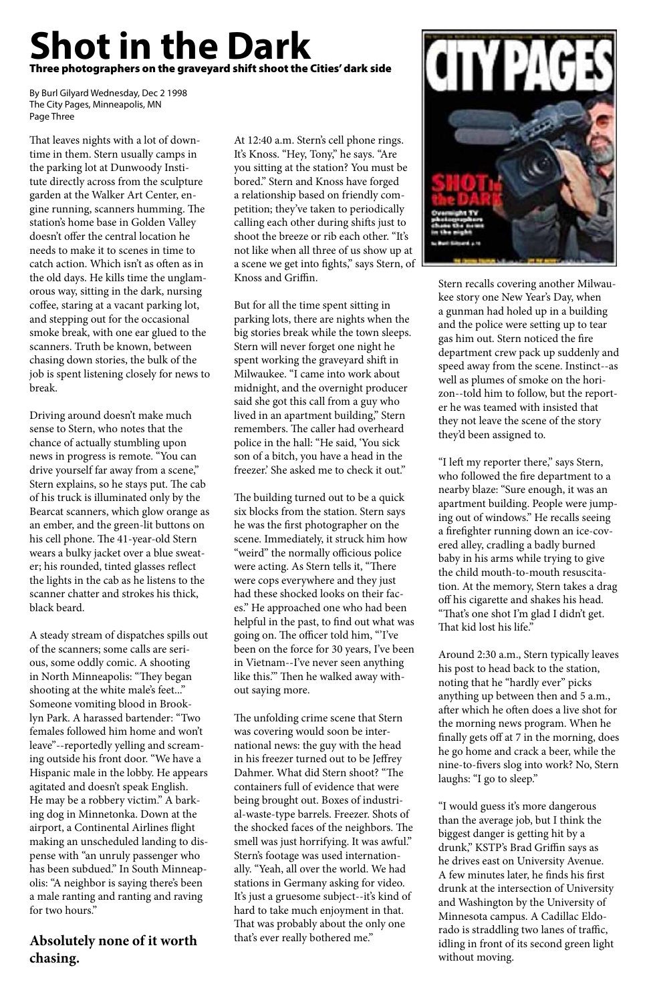That leaves nights with a lot of downtime in them. Stern usually camps in the parking lot at Dunwoody Institute directly across from the sculpture garden at the Walker Art Center, engine running, scanners humming. The station's home base in Golden Valley doesn't offer the central location he needs to make it to scenes in time to catch action. Which isn't as often as in the old days. He kills time the unglamorous way, sitting in the dark, nursing coffee, staring at a vacant parking lot, and stepping out for the occasional smoke break, with one ear glued to the scanners. Truth be known, between chasing down stories, the bulk of the job is spent listening closely for news to break.

Driving around doesn't make much sense to Stern, who notes that the chance of actually stumbling upon news in progress is remote. "You can drive yourself far away from a scene," Stern explains, so he stays put. The cab of his truck is illuminated only by the Bearcat scanners, which glow orange as an ember, and the green-lit buttons on his cell phone. The 41-year-old Stern wears a bulky jacket over a blue sweater; his rounded, tinted glasses reflect the lights in the cab as he listens to the scanner chatter and strokes his thick, black beard.

A steady stream of dispatches spills out of the scanners; some calls are serious, some oddly comic. A shooting in North Minneapolis: "They began shooting at the white male's feet..." Someone vomiting blood in Brooklyn Park. A harassed bartender: "Two females followed him home and won't leave"--reportedly yelling and screaming outside his front door. "We have a Hispanic male in the lobby. He appears agitated and doesn't speak English. He may be a robbery victim." A barking dog in Minnetonka. Down at the airport, a Continental Airlines flight making an unscheduled landing to dispense with "an unruly passenger who has been subdued." In South Minneapolis: "A neighbor is saying there's been a male ranting and ranting and raving for two hours."

#### **Absolutely none of it worth chasing.**

At 12:40 a.m. Stern's cell phone rings. It's Knoss. "Hey, Tony," he says. "Are you sitting at the station? You must be bored." Stern and Knoss have forged a relationship based on friendly competition; they've taken to periodically calling each other during shifts just to shoot the breeze or rib each other. "It's not like when all three of us show up at a scene we get into fights," says Stern, of Knoss and Griffin.

> "I left my reporter there," says Stern, who followed the fire department to a nearby blaze: "Sure enough, it was an apartment building. People were jumping out of windows." He recalls seeing a firefighter running down an ice-covered alley, cradling a badly burned baby in his arms while trying to give the child mouth-to-mouth resuscitation. At the memory, Stern takes a drag off his cigarette and shakes his head. "That's one shot I'm glad I didn't get. That kid lost his life."

But for all the time spent sitting in parking lots, there are nights when the big stories break while the town sleeps. Stern will never forget one night he spent working the graveyard shift in Milwaukee. "I came into work about midnight, and the overnight producer said she got this call from a guy who lived in an apartment building," Stern remembers. The caller had overheard police in the hall: "He said, 'You sick son of a bitch, you have a head in the freezer.' She asked me to check it out."

The building turned out to be a quick six blocks from the station. Stern says he was the first photographer on the scene. Immediately, it struck him how "weird" the normally officious police were acting. As Stern tells it, "There were cops everywhere and they just had these shocked looks on their faces." He approached one who had been helpful in the past, to find out what was going on. The officer told him, "'I've been on the force for 30 years, I've been in Vietnam--I've never seen anything like this.'" Then he walked away without saying more.

The unfolding crime scene that Stern was covering would soon be international news: the guy with the head in his freezer turned out to be Jeffrey Dahmer. What did Stern shoot? "The containers full of evidence that were being brought out. Boxes of industrial-waste-type barrels. Freezer. Shots of the shocked faces of the neighbors. The smell was just horrifying. It was awful." Stern's footage was used internationally. "Yeah, all over the world. We had stations in Germany asking for video. It's just a gruesome subject--it's kind of hard to take much enjoyment in that. That was probably about the only one that's ever really bothered me."



Stern recalls covering another Milwaukee story one New Year's Day, when a gunman had holed up in a building and the police were setting up to tear gas him out. Stern noticed the fire department crew pack up suddenly and speed away from the scene. Instinct--as well as plumes of smoke on the horizon--told him to follow, but the reporter he was teamed with insisted that they not leave the scene of the story they'd been assigned to.

Around 2:30 a.m., Stern typically leaves his post to head back to the station, noting that he "hardly ever" picks anything up between then and 5 a.m., after which he often does a live shot for the morning news program. When he finally gets off at 7 in the morning, does he go home and crack a beer, while the nine-to-fivers slog into work? No, Stern laughs: "I go to sleep."

"I would guess it's more dangerous than the average job, but I think the biggest danger is getting hit by a drunk," KSTP's Brad Griffin says as he drives east on University Avenue. A few minutes later, he finds his first drunk at the intersection of University and Washington by the University of Minnesota campus. A Cadillac Eldorado is straddling two lanes of traffic, idling in front of its second green light without moving.

## **Shot in the Dark** Three photographers on the graveyard shift shoot the Cities' dark side

By Burl Gilyard Wednesday, Dec 2 1998 The City Pages, Minneapolis, MN Page Three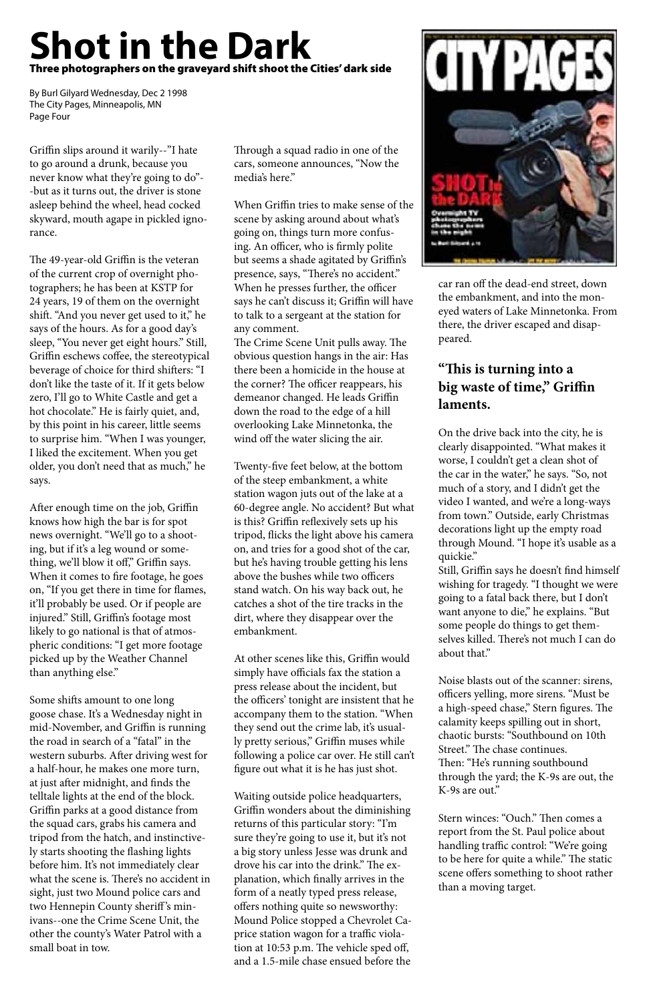Griffin slips around it warily--"I hate to go around a drunk, because you never know what they're going to do"- -but as it turns out, the driver is stone asleep behind the wheel, head cocked skyward, mouth agape in pickled ignorance.

The 49-year-old Griffin is the veteran of the current crop of overnight photographers; he has been at KSTP for 24 years, 19 of them on the overnight shift. "And you never get used to it," he says of the hours. As for a good day's sleep, "You never get eight hours." Still, Griffin eschews coffee, the stereotypical beverage of choice for third shifters: "I don't like the taste of it. If it gets below zero, I'll go to White Castle and get a hot chocolate." He is fairly quiet, and, by this point in his career, little seems to surprise him. "When I was younger, I liked the excitement. When you get older, you don't need that as much," he says.

After enough time on the job, Griffin knows how high the bar is for spot news overnight. "We'll go to a shooting, but if it's a leg wound or something, we'll blow it off," Griffin says. When it comes to fire footage, he goes on, "If you get there in time for flames, it'll probably be used. Or if people are injured." Still, Griffin's footage most likely to go national is that of atmospheric conditions: "I get more footage picked up by the Weather Channel than anything else."

Some shifts amount to one long goose chase. It's a Wednesday night in mid-November, and Griffin is running

the road in search of a "fatal" in the western suburbs. After driving west for a half-hour, he makes one more turn, at just after midnight, and finds the telltale lights at the end of the block. Griffin parks at a good distance from the squad cars, grabs his camera and tripod from the hatch, and instinctively starts shooting the flashing lights before him. It's not immediately clear what the scene is. There's no accident in sight, just two Mound police cars and two Hennepin County sheriff 's minivans--one the Crime Scene Unit, the other the county's Water Patrol with a small boat in tow.

Through a squad radio in one of the cars, someone announces, "Now the media's here."

When Griffin tries to make sense of the scene by asking around about what's going on, things turn more confusing. An officer, who is firmly polite but seems a shade agitated by Griffin's presence, says, "There's no accident." When he presses further, the officer says he can't discuss it; Griffin will have to talk to a sergeant at the station for any comment.

The Crime Scene Unit pulls away. The obvious question hangs in the air: Has there been a homicide in the house at the corner? The officer reappears, his demeanor changed. He leads Griffin down the road to the edge of a hill overlooking Lake Minnetonka, the wind off the water slicing the air.

Twenty-five feet below, at the bottom of the steep embankment, a white station wagon juts out of the lake at a 60-degree angle. No accident? But what is this? Griffin reflexively sets up his tripod, flicks the light above his camera on, and tries for a good shot of the car, but he's having trouble getting his lens above the bushes while two officers stand watch. On his way back out, he catches a shot of the tire tracks in the dirt, where they disappear over the embankment.

At other scenes like this, Griffin would simply have officials fax the station a press release about the incident, but the officers' tonight are insistent that he accompany them to the station. "When they send out the crime lab, it's usual-



ly pretty serious," Griffin muses while following a police car over. He still can't figure out what it is he has just shot.

Waiting outside police headquarters, Griffin wonders about the diminishing returns of this particular story: "I'm sure they're going to use it, but it's not a big story unless Jesse was drunk and drove his car into the drink." The explanation, which finally arrives in the form of a neatly typed press release, offers nothing quite so newsworthy: Mound Police stopped a Chevrolet Caprice station wagon for a traffic violation at 10:53 p.m. The vehicle sped off, and a 1.5-mile chase ensued before the

car ran off the dead-end street, down the embankment, and into the moneyed waters of Lake Minnetonka. From there, the driver escaped and disappeared.

#### **"This is turning into a big waste of time," Griffin laments.**

On the drive back into the city, he is clearly disappointed. "What makes it worse, I couldn't get a clean shot of the car in the water," he says. "So, not much of a story, and I didn't get the video I wanted, and we're a long-ways from town." Outside, early Christmas decorations light up the empty road through Mound. "I hope it's usable as a quickie."

Still, Griffin says he doesn't find himself wishing for tragedy. "I thought we were going to a fatal back there, but I don't want anyone to die," he explains. "But some people do things to get themselves killed. There's not much I can do about that."

Noise blasts out of the scanner: sirens, officers yelling, more sirens. "Must be a high-speed chase," Stern figures. The calamity keeps spilling out in short, chaotic bursts: "Southbound on 10th Street." The chase continues. Then: "He's running southbound through the yard; the K-9s are out, the K-9s are out."

Stern winces: "Ouch." Then comes a report from the St. Paul police about handling traffic control: "We're going to be here for quite a while." The static scene offers something to shoot rather than a moving target.

# **Shot in the Dark** Three photographers on the graveyard shift shoot the Cities' dark side

By Burl Gilyard Wednesday, Dec 2 1998 The City Pages, Minneapolis, MN Page Four